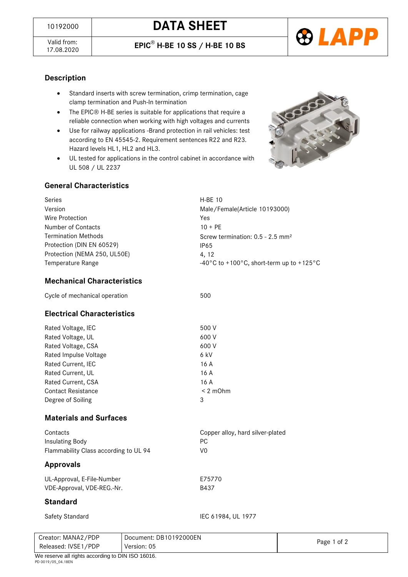



#### **Description**

- Standard inserts with screw termination, crimp termination, cage clamp termination and Push-In termination
- The EPIC® H-BE series is suitable for applications that require a reliable connection when working with high voltages and currents
- Use for railway applications -Brand protection in rail vehicles: test according to EN 45545-2. Requirement sentences R22 and R23. Hazard levels HL1, HL2 and HL3.
- UL tested for applications in the control cabinet in accordance with UL 508 / UL 2237



#### **General Characteristics**

| Series                       | <b>H-BE 10</b>                                 |
|------------------------------|------------------------------------------------|
| Version                      | Male/Female(Article 10193000)                  |
| Wire Protection              | Yes                                            |
| Number of Contacts           | $10 + PF$                                      |
| <b>Termination Methods</b>   | Screw termination: $0.5 - 2.5$ mm <sup>2</sup> |
| Protection (DIN EN 60529)    | IP65                                           |
| Protection (NEMA 250, UL50E) | 4, 12                                          |
| Temperature Range            | -40°C to +100°C, short-term up to +125°C       |

# **Mechanical Characteristics**

Cycle of mechanical operation 600 models and 500

# **Electrical Characteristics**

| Rated Voltage, IEC        | 500 V         |
|---------------------------|---------------|
| Rated Voltage, UL         | 600 V         |
| Rated Voltage, CSA        | 600 V         |
| Rated Impulse Voltage     | 6 kV          |
| Rated Current, IEC        | 16 A          |
| Rated Current, UL         | 16 A          |
| Rated Current, CSA        | 16 A          |
| <b>Contact Resistance</b> | $< 2$ m $Ohm$ |
| Degree of Soiling         | 3             |
|                           |               |

#### **Materials and Surfaces**

| Contacts                              | Copper alloy, hard silver-plated |
|---------------------------------------|----------------------------------|
| Insulating Body                       | PC.                              |
| Flammability Class according to UL 94 | VO                               |
|                                       |                                  |

#### **Approvals**

| UL-Approval, E-File-Number | F75770 |
|----------------------------|--------|
| VDE-Approval, VDE-REG.-Nr. | B437   |

#### **Standard**

Safety Standard IEC 61984, UL 1977

| Creator: MANA2/PDP                                | Document: DB10192000EN |             |  |
|---------------------------------------------------|------------------------|-------------|--|
| Released: IVSE1/PDP                               | Version: 05            | Page 1 of 2 |  |
| We reserve all rights according to DIN ISO 16016. |                        |             |  |